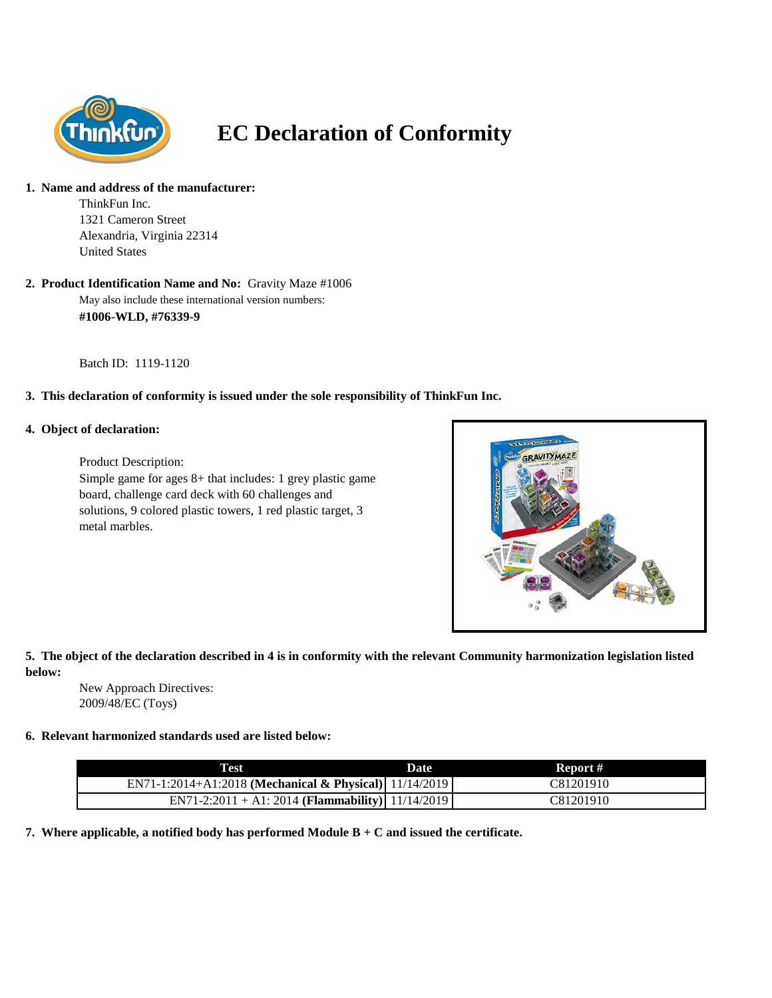

# **EC Declaration of Conformity**

#### **1. Name and address of the manufacturer:**

ThinkFun Inc. 1321 Cameron Street Alexandria, Virginia 22314 United States

#### May also include these international version numbers: **#1006-WLD, #76339-9 2. Product Identification Name and No:** Gravity Maze #1006

Batch ID: 1119-1120

# **3. This declaration of conformity is issued under the sole responsibility of ThinkFun Inc.**

### **4. Object of declaration:**

Product Description: Simple game for ages 8+ that includes: 1 grey plastic game board, challenge card deck with 60 challenges and solutions, 9 colored plastic towers, 1 red plastic target, 3 metal marbles.



# **5. The object of the declaration described in 4 is in conformity with the relevant Community harmonization legislation listed below:**

New Approach Directives: 2009/48/EC (Toys)

### **6. Relevant harmonized standards used are listed below:**

| Test                                                   | Date | Report #  |
|--------------------------------------------------------|------|-----------|
| EN71-1:2014+A1:2018 (Mechanical & Physical) 11/14/2019 |      | C81201910 |
| EN71-2:2011 + A1: 2014 (Flammability) 11/14/2019       |      | C81201910 |

**7. Where applicable, a notified body has performed Module B + C and issued the certificate.**